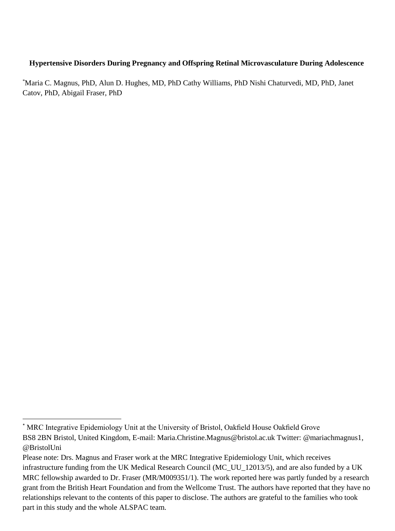## **Hypertensive Disorders During Pregnancy and Offspring Retinal Microvasculature During Adolescence**

\*Maria C. Magnus, PhD, Alun D. Hughes, MD, PhD Cathy Williams, PhD Nishi Chaturvedi, MD, PhD, Janet Catov, PhD, Abigail Fraser, PhD

 $\overline{\phantom{a}}$ 

<sup>\*</sup> MRC Integrative Epidemiology Unit at the University of Bristol, Oakfield House Oakfield Grove BS8 2BN Bristol, United Kingdom, E-mail: [Maria.Christine.Magnus@bristol.ac.uk T](mailto:Maria.Christine.Magnus@bristol.ac.uk)witter: [@mariachmagnus1,](https://twitter.com/mariachmagnus1) [@BristolUni](https://twitter.com/BristolUni) 

Please note: Drs. Magnus and Fraser work at the MRC Integrative Epidemiology Unit, which receives infrastructure funding from the UK Medical Research Council (MC\_UU\_12013/5), and are also funded by a UK MRC fellowship awarded to Dr. Fraser (MR/M009351/1). The work reported here was partly funded by a research grant from the British Heart Foundation and from the Wellcome Trust. The authors have reported that they have no relationships relevant to the contents of this paper to disclose. The authors are grateful to the families who took part in this study and the whole ALSPAC team.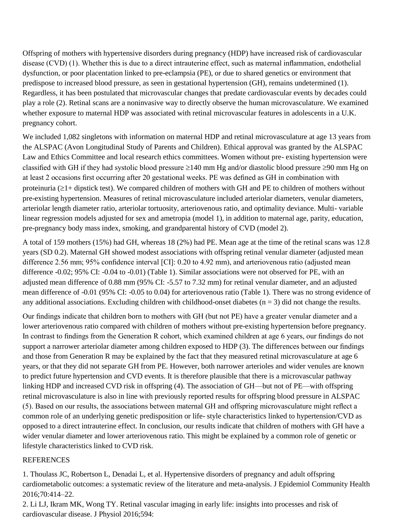Offspring of mothers with hypertensive disorders during pregnancy (HDP) have increased risk of cardiovascular disease (CVD) (1). Whether this is due to a direct intrauterine effect, such as maternal inflammation, endothelial dysfunction, or poor placentation linked to pre-eclampsia (PE), or due to shared genetics or environment that predispose to increased blood pressure, as seen in gestational hypertension (GH), remains undetermined (1). Regardless, it has been postulated that microvascular changes that predate cardiovascular events by decades could play a role (2). Retinal scans are a noninvasive way to directly observe the human microvasculature. We examined whether exposure to maternal HDP was associated with retinal microvascular features in adolescents in a U.K. pregnancy cohort.

We included 1,082 singletons with information on maternal HDP and retinal microvasculature at age 13 years from the ALSPAC (Avon Longitudinal Study of Parents and Children). Ethical approval was granted by the ALSPAC Law and Ethics Committee and local research ethics committees. Women without pre- existing hypertension were classified with GH if they had systolic blood pressure  $\geq 140$  mm Hg and/or diastolic blood pressure  $\geq 90$  mm Hg on at least 2 occasions first occurring after 20 gestational weeks. PE was defined as GH in combination with proteinuria  $(\geq 1+$  dipstick test). We compared children of mothers with GH and PE to children of mothers without pre-existing hypertension. Measures of retinal microvasculature included arteriolar diameters, venular diameters, arteriolar length diameter ratio, arteriolar tortuosity, arteriovenous ratio, and optimality deviance. Multi- variable linear regression models adjusted for sex and ametropia (model 1), in addition to maternal age, parity, education, pre-pregnancy body mass index, smoking, and grandparental history of CVD (model 2).

A total of 159 mothers (15%) had GH, whereas 18 (2%) had PE. Mean age at the time of the retinal scans was 12.8 years (SD 0.2). Maternal GH showed modest associations with offspring retinal venular diameter (adjusted mean difference 2.56 mm; 95% confidence interval [CI]: 0.20 to 4.92 mm), and arteriovenous ratio (adjusted mean difference -0.02; 95% CI: -0.04 to -0.01) (Table 1). Similar associations were not observed for PE, with an adjusted mean difference of 0.88 mm (95% CI: -5.57 to 7.32 mm) for retinal venular diameter, and an adjusted mean difference of -0.01 (95% CI: -0.05 to 0.04) for arteriovenous ratio (Table 1). There was no strong evidence of any additional associations. Excluding children with childhood-onset diabetes  $(n = 3)$  did not change the results.

Our findings indicate that children born to mothers with GH (but not PE) have a greater venular diameter and a lower arteriovenous ratio compared with children of mothers without pre-existing hypertension before pregnancy. In contrast to findings from the Generation R cohort, which examined children at age 6 years, our findings do not support a narrower arteriolar diameter among children exposed to HDP (3). The differences between our findings and those from Generation R may be explained by the fact that they measured retinal microvasculature at age 6 years, or that they did not separate GH from PE. However, both narrower arterioles and wider venules are known to predict future hypertension and CVD events. It is therefore plausible that there is a microvascular pathway linking HDP and increased CVD risk in offspring (4). The association of GH—but not of PE—with offspring retinal microvasculature is also in line with previously reported results for offspring blood pressure in ALSPAC (5). Based on our results, the associations between maternal GH and offspring microvasculature might reflect a common role of an underlying genetic predisposition or life- style characteristics linked to hypertension/CVD as opposed to a direct intrauterine effect. In conclusion, our results indicate that children of mothers with GH have a wider venular diameter and lower arteriovenous ratio. This might be explained by a common role of genetic or lifestyle characteristics linked to CVD risk.

## REFERENCES

1. [Thoulass JC, Robertson L, Denadai L, et al. Hypertensive disorders of pregnancy and adult offspring](http://refhub.elsevier.com/S0735-1097(18)35468-8/sref1)  [cardiometabolic outcomes: a systematic review of the](http://refhub.elsevier.com/S0735-1097(18)35468-8/sref1) [literature and meta-analysis. J Epidemiol Community Health](http://refhub.elsevier.com/S0735-1097(18)35468-8/sref1)  [2016;70:414–22.](http://refhub.elsevier.com/S0735-1097(18)35468-8/sref1)

2. [Li LJ, Ikram MK, Wong TY. Retinal vascular imaging in early life: insights into processes and risk of](http://refhub.elsevier.com/S0735-1097(18)35468-8/sref2)  [cardiovascular disease. J Physiol 2016;594:](http://refhub.elsevier.com/S0735-1097(18)35468-8/sref2)